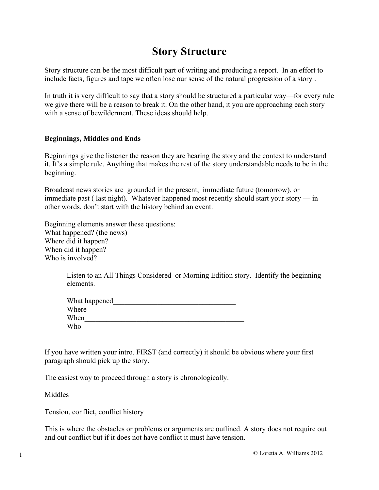## **Story Structure**

Story structure can be the most difficult part of writing and producing a report. In an effort to include facts, figures and tape we often lose our sense of the natural progression of a story .

In truth it is very difficult to say that a story should be structured a particular way—for every rule we give there will be a reason to break it. On the other hand, it you are approaching each story with a sense of bewilderment, These ideas should help.

### **Beginnings, Middles and Ends**

Beginnings give the listener the reason they are hearing the story and the context to understand it. It's a simple rule. Anything that makes the rest of the story understandable needs to be in the beginning.

Broadcast news stories are grounded in the present, immediate future (tomorrow). or immediate past ( last night). Whatever happened most recently should start your story — in other words, don't start with the history behind an event.

Beginning elements answer these questions: What happened? (the news) Where did it happen? When did it happen? Who is involved?

> Listen to an All Things Considered or Morning Edition story. Identify the beginning elements.

| What happened |  |
|---------------|--|
| Where         |  |
| When          |  |
| Who           |  |

If you have written your intro. FIRST (and correctly) it should be obvious where your first paragraph should pick up the story.

The easiest way to proceed through a story is chronologically.

Middles

Tension, conflict, conflict history

This is where the obstacles or problems or arguments are outlined. A story does not require out and out conflict but if it does not have conflict it must have tension.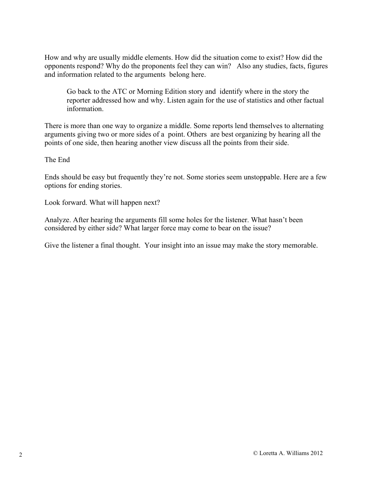How and why are usually middle elements. How did the situation come to exist? How did the opponents respond? Why do the proponents feel they can win? Also any studies, facts, figures and information related to the arguments belong here.

Go back to the ATC or Morning Edition story and identify where in the story the reporter addressed how and why. Listen again for the use of statistics and other factual information.

There is more than one way to organize a middle. Some reports lend themselves to alternating arguments giving two or more sides of a point. Others are best organizing by hearing all the points of one side, then hearing another view discuss all the points from their side.

The End

Ends should be easy but frequently they're not. Some stories seem unstoppable. Here are a few options for ending stories.

Look forward. What will happen next?

Analyze. After hearing the arguments fill some holes for the listener. What hasn't been considered by either side? What larger force may come to bear on the issue?

Give the listener a final thought. Your insight into an issue may make the story memorable.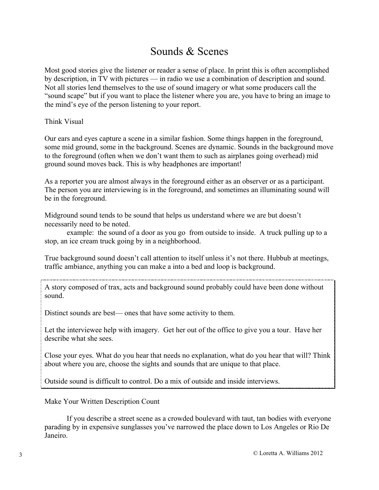## Sounds & Scenes

Most good stories give the listener or reader a sense of place. In print this is often accomplished by description, in TV with pictures — in radio we use a combination of description and sound. Not all stories lend themselves to the use of sound imagery or what some producers call the "sound scape" but if you want to place the listener where you are, you have to bring an image to the mind's eye of the person listening to your report.

Think Visual

Our ears and eyes capture a scene in a similar fashion. Some things happen in the foreground, some mid ground, some in the background. Scenes are dynamic. Sounds in the background move to the foreground (often when we don't want them to such as airplanes going overhead) mid ground sound moves back. This is why headphones are important!

As a reporter you are almost always in the foreground either as an observer or as a participant. The person you are interviewing is in the foreground, and sometimes an illuminating sound will be in the foreground.

Midground sound tends to be sound that helps us understand where we are but doesn't necessarily need to be noted.

example: the sound of a door as you go from outside to inside. A truck pulling up to a stop, an ice cream truck going by in a neighborhood.

True background sound doesn't call attention to itself unless it's not there. Hubbub at meetings, traffic ambiance, anything you can make a into a bed and loop is background.

A story composed of trax, acts and background sound probably could have been done without sound.

Distinct sounds are best— ones that have some activity to them.

Let the interviewee help with imagery. Get her out of the office to give you a tour. Have her describe what she sees.

Close your eyes. What do you hear that needs no explanation, what do you hear that will? Think about where you are, choose the sights and sounds that are unique to that place.

Outside sound is difficult to control. Do a mix of outside and inside interviews.

Make Your Written Description Count

If you describe a street scene as a crowded boulevard with taut, tan bodies with everyone parading by in expensive sunglasses you've narrowed the place down to Los Angeles or Rio De Janeiro.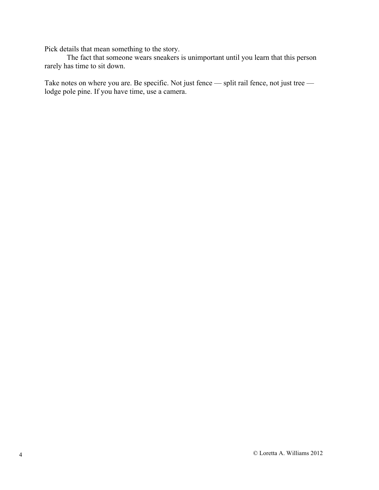Pick details that mean something to the story.

The fact that someone wears sneakers is unimportant until you learn that this person rarely has time to sit down.

Take notes on where you are. Be specific. Not just fence — split rail fence, not just tree lodge pole pine. If you have time, use a camera.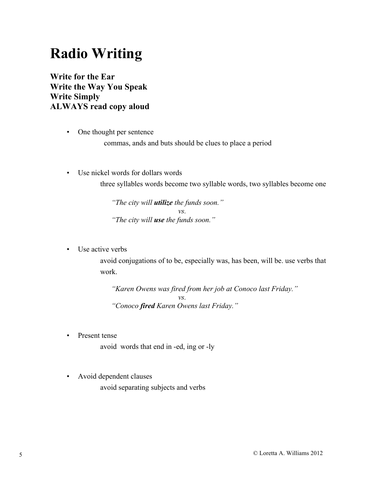# **Radio Writing**

**Write for the Ear Write the Way You Speak Write Simply ALWAYS read copy aloud**

- One thought per sentence
	- commas, ands and buts should be clues to place a period
- Use nickel words for dollars words three syllables words become two syllable words, two syllables become one

*"The city will utilize the funds soon." vs. "The city will use the funds soon."*

• Use active verbs

avoid conjugations of to be, especially was, has been, will be. use verbs that work.

*"Karen Owens was fired from her job at Conoco last Friday." vs. "Conoco fired Karen Owens last Friday."*

• Present tense

avoid words that end in -ed, ing or -ly

• Avoid dependent clauses

avoid separating subjects and verbs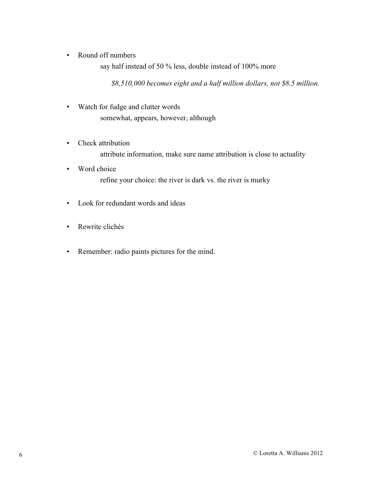• Round off numbers

say half instead of 50 % less, double instead of 100% more

*\$8,510,000 becomes eight and a half million dollars, not \$8.5 million.*

- Watch for fudge and clutter words somewhat, appears, however, although
- Check attribution attribute information, make sure name attribution is close to actuality
- Word choice refine your choice: the river is dark vs. the river is murky
- Look for redundant words and ideas
- Rewrite clichés
- Remember: radio paints pictures for the mind.